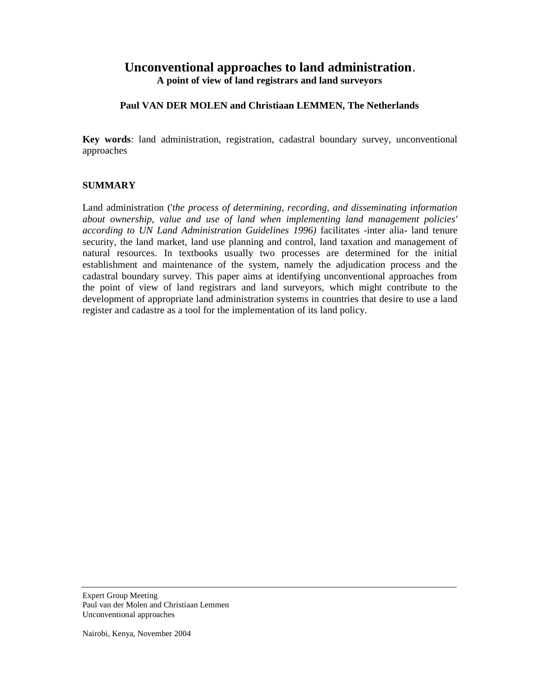# **Unconventional approaches to land administration.**

**A point of view of land registrars and land surveyors** 

### **Paul VAN DER MOLEN and Christiaan LEMMEN, The Netherlands**

**Key words**: land administration, registration, cadastral boundary survey, unconventional approaches

### **SUMMARY**

Land administration ('*the process of determining, recording, and disseminating information about ownership, value and use of land when implementing land management policies' according to UN Land Administration Guidelines 1996)* facilitates -inter alia- land tenure security, the land market, land use planning and control, land taxation and management of natural resources. In textbooks usually two processes are determined for the initial establishment and maintenance of the system, namely the adjudication process and the cadastral boundary survey. This paper aims at identifying unconventional approaches from the point of view of land registrars and land surveyors, which might contribute to the development of appropriate land administration systems in countries that desire to use a land register and cadastre as a tool for the implementation of its land policy.

Expert Group Meeting Paul van der Molen and Christiaan Lemmen Unconventional approaches

Nairobi, Kenya, November 2004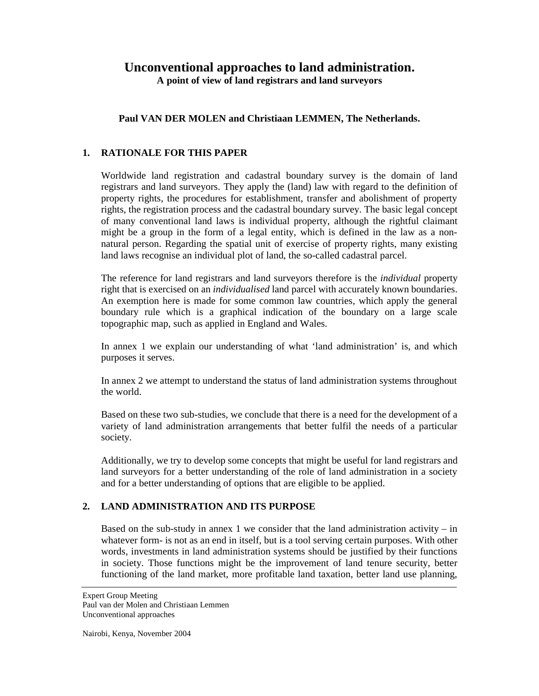# **Unconventional approaches to land administration.**

**A point of view of land registrars and land surveyors** 

# **Paul VAN DER MOLEN and Christiaan LEMMEN, The Netherlands.**

# **1. RATIONALE FOR THIS PAPER**

Worldwide land registration and cadastral boundary survey is the domain of land registrars and land surveyors. They apply the (land) law with regard to the definition of property rights, the procedures for establishment, transfer and abolishment of property rights, the registration process and the cadastral boundary survey. The basic legal concept of many conventional land laws is individual property, although the rightful claimant might be a group in the form of a legal entity, which is defined in the law as a nonnatural person. Regarding the spatial unit of exercise of property rights, many existing land laws recognise an individual plot of land, the so-called cadastral parcel.

The reference for land registrars and land surveyors therefore is the *individual* property right that is exercised on an *individualised* land parcel with accurately known boundaries. An exemption here is made for some common law countries, which apply the general boundary rule which is a graphical indication of the boundary on a large scale topographic map, such as applied in England and Wales.

In annex 1 we explain our understanding of what 'land administration' is, and which purposes it serves.

In annex 2 we attempt to understand the status of land administration systems throughout the world.

Based on these two sub-studies, we conclude that there is a need for the development of a variety of land administration arrangements that better fulfil the needs of a particular society.

Additionally, we try to develop some concepts that might be useful for land registrars and land surveyors for a better understanding of the role of land administration in a society and for a better understanding of options that are eligible to be applied.

# **2. LAND ADMINISTRATION AND ITS PURPOSE**

Based on the sub-study in annex 1 we consider that the land administration activity – in whatever form- is not as an end in itself, but is a tool serving certain purposes. With other words, investments in land administration systems should be justified by their functions in society. Those functions might be the improvement of land tenure security, better functioning of the land market, more profitable land taxation, better land use planning,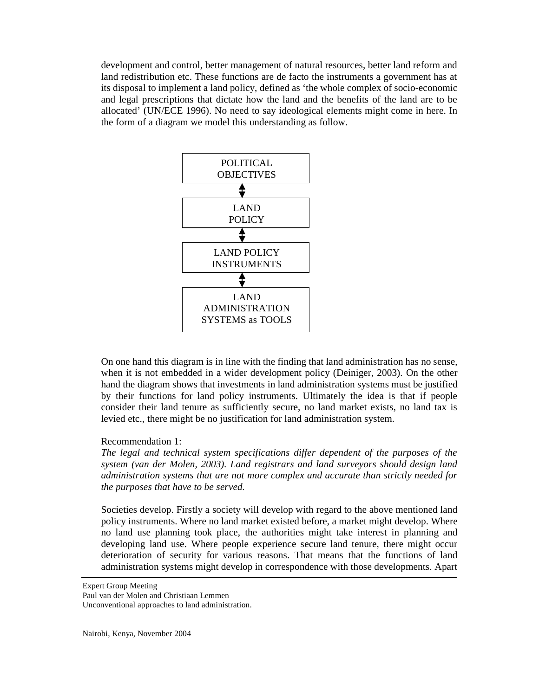development and control, better management of natural resources, better land reform and land redistribution etc. These functions are de facto the instruments a government has at its disposal to implement a land policy, defined as 'the whole complex of socio-economic and legal prescriptions that dictate how the land and the benefits of the land are to be allocated' (UN/ECE 1996). No need to say ideological elements might come in here. In the form of a diagram we model this understanding as follow.



On one hand this diagram is in line with the finding that land administration has no sense, when it is not embedded in a wider development policy (Deiniger, 2003). On the other hand the diagram shows that investments in land administration systems must be justified by their functions for land policy instruments. Ultimately the idea is that if people consider their land tenure as sufficiently secure, no land market exists, no land tax is levied etc., there might be no justification for land administration system.

### Recommendation 1:

*The legal and technical system specifications differ dependent of the purposes of the system (van der Molen, 2003). Land registrars and land surveyors should design land administration systems that are not more complex and accurate than strictly needed for the purposes that have to be served.* 

Societies develop. Firstly a society will develop with regard to the above mentioned land policy instruments. Where no land market existed before, a market might develop. Where no land use planning took place, the authorities might take interest in planning and developing land use. Where people experience secure land tenure, there might occur deterioration of security for various reasons. That means that the functions of land administration systems might develop in correspondence with those developments. Apart

Expert Group Meeting

Paul van der Molen and Christiaan Lemmen

Unconventional approaches to land administration.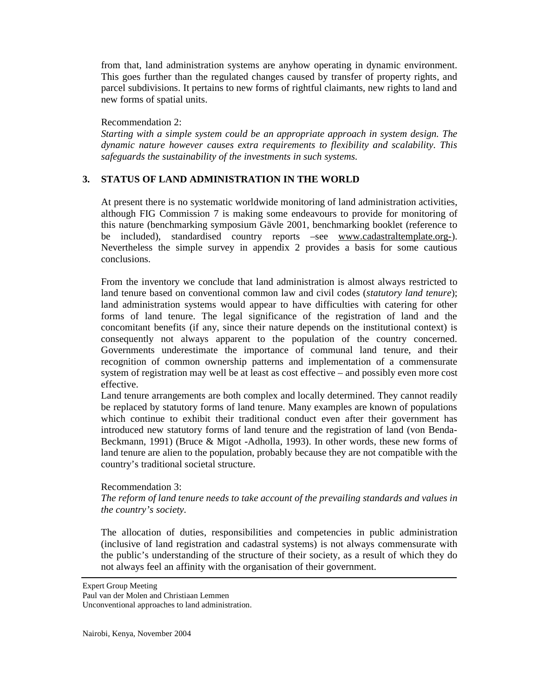from that, land administration systems are anyhow operating in dynamic environment. This goes further than the regulated changes caused by transfer of property rights, and parcel subdivisions. It pertains to new forms of rightful claimants, new rights to land and new forms of spatial units.

### Recommendation 2:

*Starting with a simple system could be an appropriate approach in system design. The dynamic nature however causes extra requirements to flexibility and scalability. This safeguards the sustainability of the investments in such systems.* 

# **3. STATUS OF LAND ADMINISTRATION IN THE WORLD**

At present there is no systematic worldwide monitoring of land administration activities, although FIG Commission 7 is making some endeavours to provide for monitoring of this nature (benchmarking symposium Gävle 2001, benchmarking booklet (reference to be included), standardised country reports –see [www.cadastraltemplate.org-](http://www.cadastraltemplate.org-)). Nevertheless the simple survey in appendix 2 provides a basis for some cautious conclusions.

From the inventory we conclude that land administration is almost always restricted to land tenure based on conventional common law and civil codes (*statutory land tenure*); land administration systems would appear to have difficulties with catering for other forms of land tenure. The legal significance of the registration of land and the concomitant benefits (if any, since their nature depends on the institutional context) is consequently not always apparent to the population of the country concerned. Governments underestimate the importance of communal land tenure, and their recognition of common ownership patterns and implementation of a commensurate system of registration may well be at least as cost effective – and possibly even more cost effective.

Land tenure arrangements are both complex and locally determined. They cannot readily be replaced by statutory forms of land tenure. Many examples are known of populations which continue to exhibit their traditional conduct even after their government has introduced new statutory forms of land tenure and the registration of land (von Benda-Beckmann, 1991) (Bruce & Migot -Adholla, 1993). In other words, these new forms of land tenure are alien to the population, probably because they are not compatible with the country's traditional societal structure.

### Recommendation 3:

*The reform of land tenure needs to take account of the prevailing standards and values in the country's society.* 

The allocation of duties, responsibilities and competencies in public administration (inclusive of land registration and cadastral systems) is not always commensurate with the public's understanding of the structure of their society, as a result of which they do not always feel an affinity with the organisation of their government.

Expert Group Meeting

Paul van der Molen and Christiaan Lemmen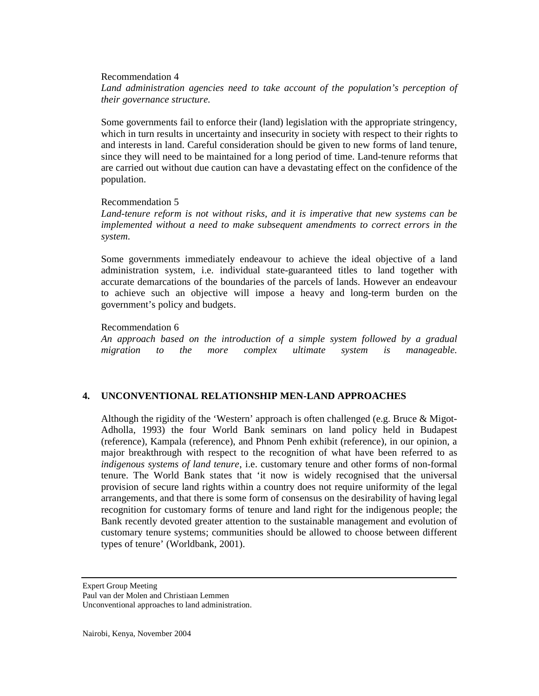#### Recommendation 4

*Land administration agencies need to take account of the population's perception of their governance structure.* 

Some governments fail to enforce their (land) legislation with the appropriate stringency, which in turn results in uncertainty and insecurity in society with respect to their rights to and interests in land. Careful consideration should be given to new forms of land tenure, since they will need to be maintained for a long period of time. Land-tenure reforms that are carried out without due caution can have a devastating effect on the confidence of the population.

### Recommendation 5

*Land-tenure reform is not without risks, and it is imperative that new systems can be implemented without a need to make subsequent amendments to correct errors in the system.* 

Some governments immediately endeavour to achieve the ideal objective of a land administration system, i.e. individual state-guaranteed titles to land together with accurate demarcations of the boundaries of the parcels of lands. However an endeavour to achieve such an objective will impose a heavy and long-term burden on the government's policy and budgets.

Recommendation 6

*An approach based on the introduction of a simple system followed by a gradual migration to the more complex ultimate system is manageable.* 

# **4. UNCONVENTIONAL RELATIONSHIP MEN-LAND APPROACHES**

Although the rigidity of the 'Western' approach is often challenged (e.g. Bruce & Migot-Adholla, 1993) the four World Bank seminars on land policy held in Budapest (reference), Kampala (reference), and Phnom Penh exhibit (reference), in our opinion, a major breakthrough with respect to the recognition of what have been referred to as *indigenous systems of land tenure*, i.e. customary tenure and other forms of non-formal tenure. The World Bank states that 'it now is widely recognised that the universal provision of secure land rights within a country does not require uniformity of the legal arrangements, and that there is some form of consensus on the desirability of having legal recognition for customary forms of tenure and land right for the indigenous people; the Bank recently devoted greater attention to the sustainable management and evolution of customary tenure systems; communities should be allowed to choose between different types of tenure' (Worldbank, 2001).

Expert Group Meeting

Paul van der Molen and Christiaan Lemmen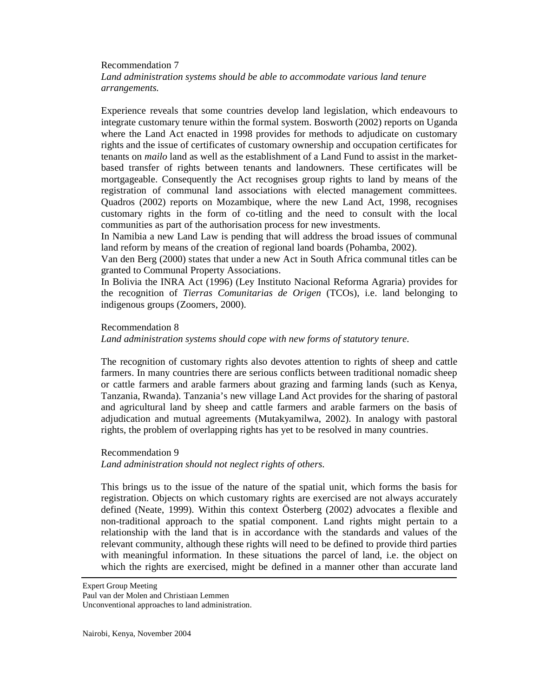### Recommendation 7 *Land administration systems should be able to accommodate various land tenure arrangements.*

Experience reveals that some countries develop land legislation, which endeavours to integrate customary tenure within the formal system. Bosworth (2002) reports on Uganda where the Land Act enacted in 1998 provides for methods to adjudicate on customary rights and the issue of certificates of customary ownership and occupation certificates for tenants on *mailo* land as well as the establishment of a Land Fund to assist in the marketbased transfer of rights between tenants and landowners. These certificates will be mortgageable. Consequently the Act recognises group rights to land by means of the registration of communal land associations with elected management committees. Quadros (2002) reports on Mozambique, where the new Land Act, 1998, recognises customary rights in the form of co-titling and the need to consult with the local communities as part of the authorisation process for new investments.

In Namibia a new Land Law is pending that will address the broad issues of communal land reform by means of the creation of regional land boards (Pohamba, 2002).

Van den Berg (2000) states that under a new Act in South Africa communal titles can be granted to Communal Property Associations.

In Bolivia the INRA Act (1996) (Ley Instituto Nacional Reforma Agraria) provides for the recognition of *Tierras Comunitarias de Origen* (TCOs), i.e. land belonging to indigenous groups (Zoomers, 2000).

#### Recommendation 8

*Land administration systems should cope with new forms of statutory tenure.* 

The recognition of customary rights also devotes attention to rights of sheep and cattle farmers. In many countries there are serious conflicts between traditional nomadic sheep or cattle farmers and arable farmers about grazing and farming lands (such as Kenya, Tanzania, Rwanda). Tanzania's new village Land Act provides for the sharing of pastoral and agricultural land by sheep and cattle farmers and arable farmers on the basis of adjudication and mutual agreements (Mutakyamilwa, 2002). In analogy with pastoral rights, the problem of overlapping rights has yet to be resolved in many countries.

#### Recommendation 9

*Land administration should not neglect rights of others.* 

This brings us to the issue of the nature of the spatial unit, which forms the basis for registration. Objects on which customary rights are exercised are not always accurately defined (Neate, 1999). Within this context Österberg (2002) advocates a flexible and non-traditional approach to the spatial component. Land rights might pertain to a relationship with the land that is in accordance with the standards and values of the relevant community, although these rights will need to be defined to provide third parties with meaningful information. In these situations the parcel of land, i.e. the object on which the rights are exercised, might be defined in a manner other than accurate land

Expert Group Meeting

Paul van der Molen and Christiaan Lemmen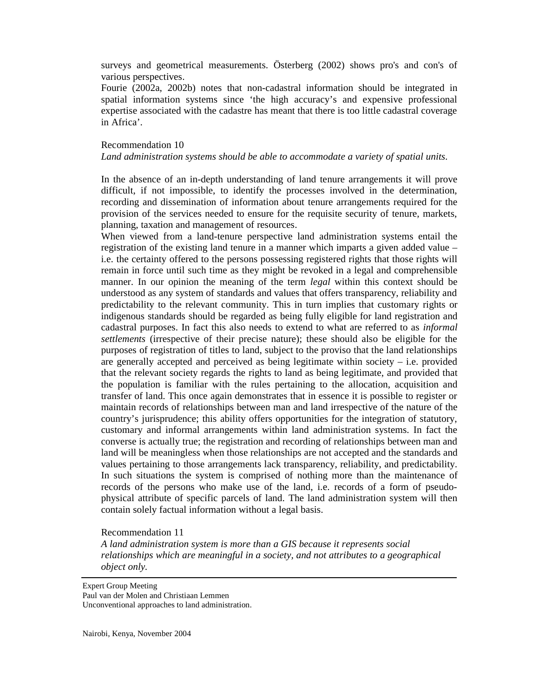surveys and geometrical measurements. Österberg (2002) shows pro's and con's of various perspectives.

Fourie (2002a, 2002b) notes that non-cadastral information should be integrated in spatial information systems since 'the high accuracy's and expensive professional expertise associated with the cadastre has meant that there is too little cadastral coverage in Africa'.

### Recommendation 10

#### *Land administration systems should be able to accommodate a variety of spatial units.*

In the absence of an in-depth understanding of land tenure arrangements it will prove difficult, if not impossible, to identify the processes involved in the determination, recording and dissemination of information about tenure arrangements required for the provision of the services needed to ensure for the requisite security of tenure, markets, planning, taxation and management of resources.

When viewed from a land-tenure perspective land administration systems entail the registration of the existing land tenure in a manner which imparts a given added value – i.e. the certainty offered to the persons possessing registered rights that those rights will remain in force until such time as they might be revoked in a legal and comprehensible manner. In our opinion the meaning of the term *legal* within this context should be understood as any system of standards and values that offers transparency, reliability and predictability to the relevant community. This in turn implies that customary rights or indigenous standards should be regarded as being fully eligible for land registration and cadastral purposes. In fact this also needs to extend to what are referred to as *informal settlements* (irrespective of their precise nature); these should also be eligible for the purposes of registration of titles to land, subject to the proviso that the land relationships are generally accepted and perceived as being legitimate within society – i.e. provided that the relevant society regards the rights to land as being legitimate, and provided that the population is familiar with the rules pertaining to the allocation, acquisition and transfer of land. This once again demonstrates that in essence it is possible to register or maintain records of relationships between man and land irrespective of the nature of the country's jurisprudence; this ability offers opportunities for the integration of statutory, customary and informal arrangements within land administration systems. In fact the converse is actually true; the registration and recording of relationships between man and land will be meaningless when those relationships are not accepted and the standards and values pertaining to those arrangements lack transparency, reliability, and predictability. In such situations the system is comprised of nothing more than the maintenance of records of the persons who make use of the land, i.e. records of a form of pseudophysical attribute of specific parcels of land. The land administration system will then contain solely factual information without a legal basis.

#### Recommendation 11

*A land administration system is more than a GIS because it represents social relationships which are meaningful in a society, and not attributes to a geographical object only.* 

Expert Group Meeting

Paul van der Molen and Christiaan Lemmen Unconventional approaches to land administration.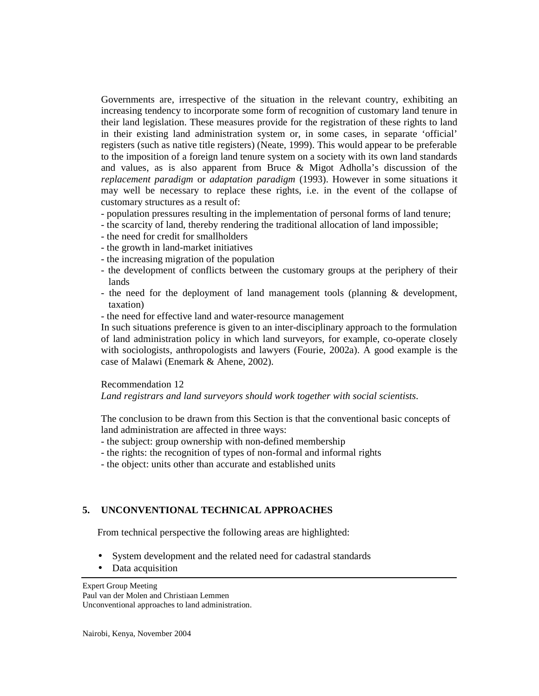Governments are, irrespective of the situation in the relevant country, exhibiting an increasing tendency to incorporate some form of recognition of customary land tenure in their land legislation. These measures provide for the registration of these rights to land in their existing land administration system or, in some cases, in separate 'official' registers (such as native title registers) (Neate, 1999). This would appear to be preferable to the imposition of a foreign land tenure system on a society with its own land standards and values, as is also apparent from Bruce & Migot Adholla's discussion of the *replacement paradigm* or *adaptation paradigm* (1993). However in some situations it may well be necessary to replace these rights, i.e. in the event of the collapse of customary structures as a result of:

- population pressures resulting in the implementation of personal forms of land tenure;
- the scarcity of land, thereby rendering the traditional allocation of land impossible;
- the need for credit for smallholders
- the growth in land-market initiatives
- the increasing migration of the population
- the development of conflicts between the customary groups at the periphery of their lands
- the need for the deployment of land management tools (planning & development, taxation)
- the need for effective land and water-resource management

In such situations preference is given to an inter-disciplinary approach to the formulation of land administration policy in which land surveyors, for example, co-operate closely with sociologists, anthropologists and lawyers (Fourie, 2002a). A good example is the case of Malawi (Enemark & Ahene, 2002).

Recommendation 12

*Land registrars and land surveyors should work together with social scientists.* 

The conclusion to be drawn from this Section is that the conventional basic concepts of land administration are affected in three ways:

- the subject: group ownership with non-defined membership
- the rights: the recognition of types of non-formal and informal rights
- the object: units other than accurate and established units

# **5. UNCONVENTIONAL TECHNICAL APPROACHES**

From technical perspective the following areas are highlighted:

- System development and the related need for cadastral standards
- Data acquisition

Expert Group Meeting Paul van der Molen and Christiaan Lemmen Unconventional approaches to land administration.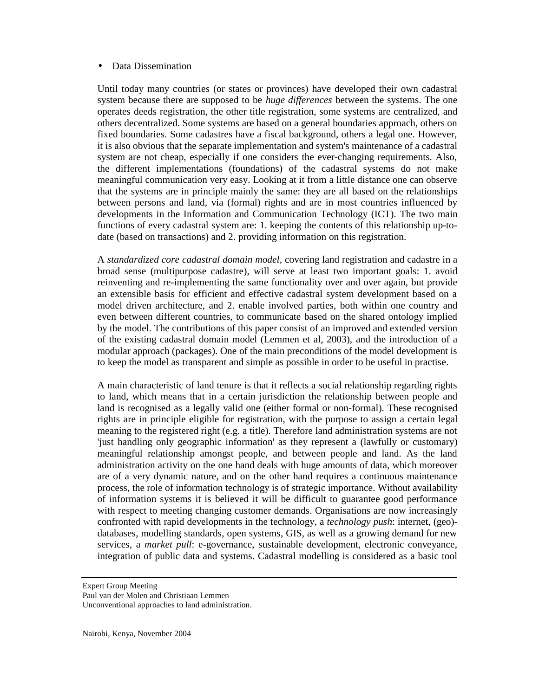#### • Data Dissemination

Until today many countries (or states or provinces) have developed their own cadastral system because there are supposed to be *huge differences* between the systems. The one operates deeds registration, the other title registration, some systems are centralized, and others decentralized. Some systems are based on a general boundaries approach, others on fixed boundaries. Some cadastres have a fiscal background, others a legal one. However, it is also obvious that the separate implementation and system's maintenance of a cadastral system are not cheap, especially if one considers the ever-changing requirements. Also, the different implementations (foundations) of the cadastral systems do not make meaningful communication very easy. Looking at it from a little distance one can observe that the systems are in principle mainly the same: they are all based on the relationships between persons and land, via (formal) rights and are in most countries influenced by developments in the Information and Communication Technology (ICT). The two main functions of every cadastral system are: 1. keeping the contents of this relationship up-todate (based on transactions) and 2. providing information on this registration.

A *standardized core cadastral domain model,* covering land registration and cadastre in a broad sense (multipurpose cadastre), will serve at least two important goals: 1. avoid reinventing and re-implementing the same functionality over and over again, but provide an extensible basis for efficient and effective cadastral system development based on a model driven architecture, and 2. enable involved parties, both within one country and even between different countries, to communicate based on the shared ontology implied by the model. The contributions of this paper consist of an improved and extended version of the existing cadastral domain model (Lemmen et al, 2003), and the introduction of a modular approach (packages). One of the main preconditions of the model development is to keep the model as transparent and simple as possible in order to be useful in practise.

A main characteristic of land tenure is that it reflects a social relationship regarding rights to land, which means that in a certain jurisdiction the relationship between people and land is recognised as a legally valid one (either formal or non-formal). These recognised rights are in principle eligible for registration, with the purpose to assign a certain legal meaning to the registered right (e.g. a title). Therefore land administration systems are not 'just handling only geographic information' as they represent a (lawfully or customary) meaningful relationship amongst people, and between people and land. As the land administration activity on the one hand deals with huge amounts of data, which moreover are of a very dynamic nature, and on the other hand requires a continuous maintenance process, the role of information technology is of strategic importance. Without availability of information systems it is believed it will be difficult to guarantee good performance with respect to meeting changing customer demands. Organisations are now increasingly confronted with rapid developments in the technology, a *technology push*: internet, (geo) databases, modelling standards, open systems, GIS, as well as a growing demand for new services, a *market pull*: e-governance, sustainable development, electronic conveyance, integration of public data and systems. Cadastral modelling is considered as a basic tool

Expert Group Meeting

Paul van der Molen and Christiaan Lemmen

Unconventional approaches to land administration.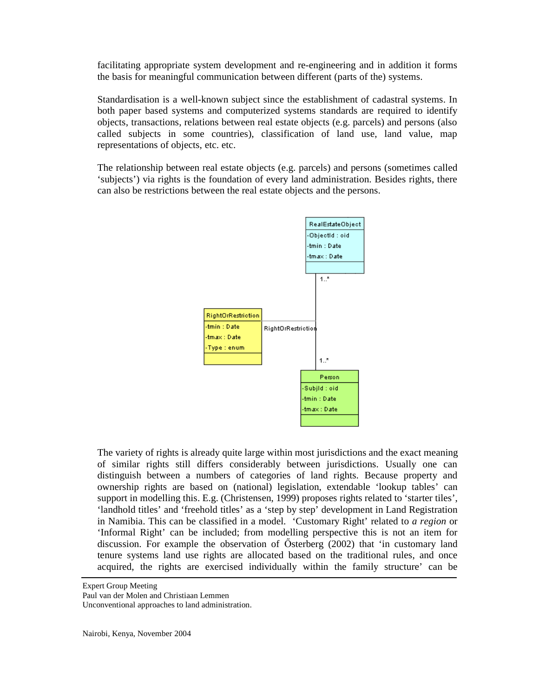facilitating appropriate system development and re-engineering and in addition it forms the basis for meaningful communication between different (parts of the) systems.

Standardisation is a well-known subject since the establishment of cadastral systems. In both paper based systems and computerized systems standards are required to identify objects, transactions, relations between real estate objects (e.g. parcels) and persons (also called subjects in some countries), classification of land use, land value, map representations of objects, etc. etc.

The relationship between real estate objects (e.g. parcels) and persons (sometimes called 'subjects') via rights is the foundation of every land administration. Besides rights, there can also be restrictions between the real estate objects and the persons.



The variety of rights is already quite large within most jurisdictions and the exact meaning of similar rights still differs considerably between jurisdictions. Usually one can distinguish between a numbers of categories of land rights. Because property and ownership rights are based on (national) legislation, extendable 'lookup tables' can support in modelling this. E.g. (Christensen, 1999) proposes rights related to 'starter tiles', 'landhold titles' and 'freehold titles' as a 'step by step' development in Land Registration in Namibia. This can be classified in a model. 'Customary Right' related to *a region* or 'Informal Right' can be included; from modelling perspective this is not an item for discussion. For example the observation of Ősterberg (2002) that 'in customary land tenure systems land use rights are allocated based on the traditional rules, and once acquired, the rights are exercised individually within the family structure' can be

Expert Group Meeting

Paul van der Molen and Christiaan Lemmen

Unconventional approaches to land administration.

Nairobi, Kenya, November 2004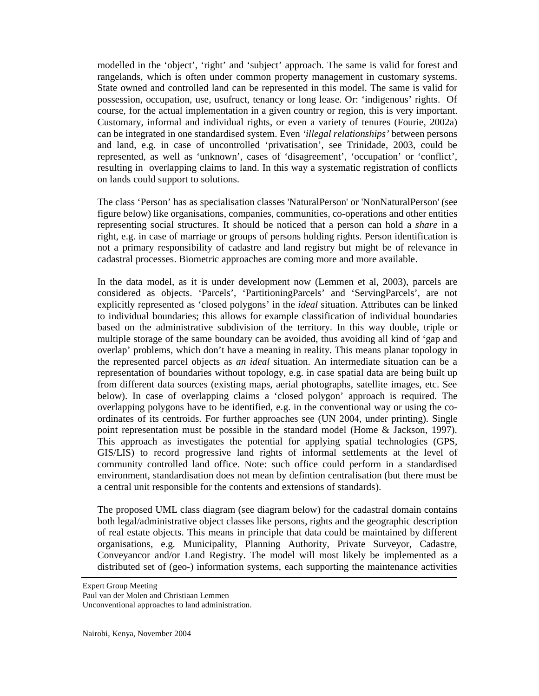modelled in the 'object', 'right' and 'subject' approach. The same is valid for forest and rangelands, which is often under common property management in customary systems. State owned and controlled land can be represented in this model. The same is valid for possession, occupation, use, usufruct, tenancy or long lease. Or: 'indigenous' rights. Of course, for the actual implementation in a given country or region, this is very important. Customary, informal and individual rights, or even a variety of tenures (Fourie, 2002a) can be integrated in one standardised system. Even *'illegal relationships'* between persons and land, e.g. in case of uncontrolled 'privatisation', see Trinidade, 2003, could be represented, as well as 'unknown', cases of 'disagreement', 'occupation' or 'conflict', resulting in overlapping claims to land. In this way a systematic registration of conflicts on lands could support to solutions.

The class 'Person' has as specialisation classes 'NaturalPerson' or 'NonNaturalPerson' (see figure below) like organisations, companies, communities, co-operations and other entities representing social structures. It should be noticed that a person can hold a *share* in a right, e.g. in case of marriage or groups of persons holding rights. Person identification is not a primary responsibility of cadastre and land registry but might be of relevance in cadastral processes. Biometric approaches are coming more and more available.

In the data model, as it is under development now (Lemmen et al, 2003), parcels are considered as objects. 'Parcels', 'PartitioningParcels' and 'ServingParcels', are not explicitly represented as 'closed polygons' in the *ideal* situation. Attributes can be linked to individual boundaries; this allows for example classification of individual boundaries based on the administrative subdivision of the territory. In this way double, triple or multiple storage of the same boundary can be avoided, thus avoiding all kind of 'gap and overlap' problems, which don't have a meaning in reality. This means planar topology in the represented parcel objects as *an ideal* situation. An intermediate situation can be a representation of boundaries without topology, e.g. in case spatial data are being built up from different data sources (existing maps, aerial photographs, satellite images, etc. See below). In case of overlapping claims a 'closed polygon' approach is required. The overlapping polygons have to be identified, e.g. in the conventional way or using the coordinates of its centroids. For further approaches see (UN 2004, under printing). Single point representation must be possible in the standard model (Home & Jackson, 1997). This approach as investigates the potential for applying spatial technologies (GPS, GIS/LIS) to record progressive land rights of informal settlements at the level of community controlled land office. Note: such office could perform in a standardised environment, standardisation does not mean by defintion centralisation (but there must be a central unit responsible for the contents and extensions of standards).

The proposed UML class diagram (see diagram below) for the cadastral domain contains both legal/administrative object classes like persons, rights and the geographic description of real estate objects. This means in principle that data could be maintained by different organisations, e.g. Municipality, Planning Authority, Private Surveyor, Cadastre, Conveyancor and/or Land Registry. The model will most likely be implemented as a distributed set of (geo-) information systems, each supporting the maintenance activities

Expert Group Meeting

Paul van der Molen and Christiaan Lemmen

Unconventional approaches to land administration.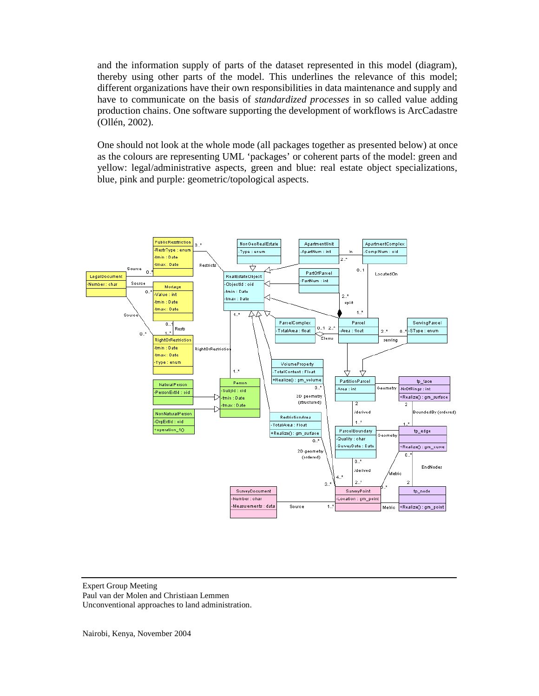and the information supply of parts of the dataset represented in this model (diagram), thereby using other parts of the model. This underlines the relevance of this model; different organizations have their own responsibilities in data maintenance and supply and have to communicate on the basis of *standardized processes* in so called value adding production chains. One software supporting the development of workflows is ArcCadastre (Ollén, 2002).

One should not look at the whole mode (all packages together as presented below) at once as the colours are representing UML 'packages' or coherent parts of the model: green and yellow: legal/administrative aspects, green and blue: real estate object specializations, blue, pink and purple: geometric/topological aspects.



Expert Group Meeting Paul van der Molen and Christiaan Lemmen Unconventional approaches to land administration.

Nairobi, Kenya, November 2004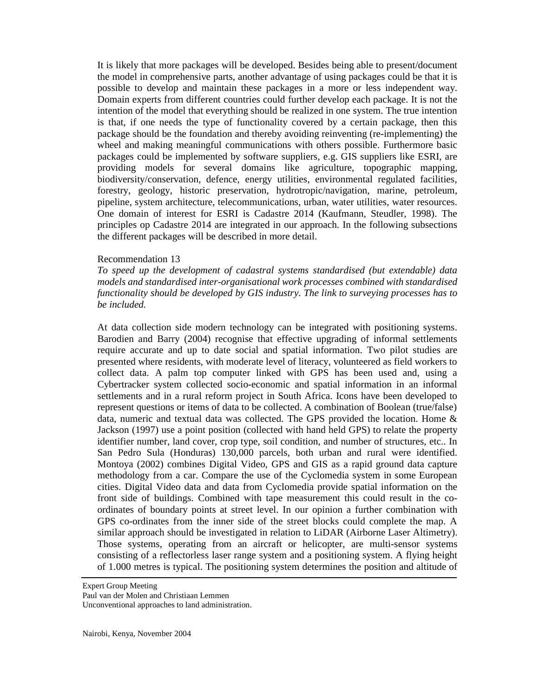It is likely that more packages will be developed. Besides being able to present/document the model in comprehensive parts, another advantage of using packages could be that it is possible to develop and maintain these packages in a more or less independent way. Domain experts from different countries could further develop each package. It is not the intention of the model that everything should be realized in one system. The true intention is that, if one needs the type of functionality covered by a certain package, then this package should be the foundation and thereby avoiding reinventing (re-implementing) the wheel and making meaningful communications with others possible. Furthermore basic packages could be implemented by software suppliers, e.g. GIS suppliers like ESRI, are providing models for several domains like agriculture, topographic mapping, biodiversity/conservation, defence, energy utilities, environmental regulated facilities, forestry, geology, historic preservation, hydrotropic/navigation, marine, petroleum, pipeline, system architecture, telecommunications, urban, water utilities, water resources. One domain of interest for ESRI is Cadastre 2014 (Kaufmann, Steudler, 1998). The principles op Cadastre 2014 are integrated in our approach. In the following subsections the different packages will be described in more detail.

#### Recommendation 13

*To speed up the development of cadastral systems standardised (but extendable) data models and standardised inter-organisational work processes combined with standardised functionality should be developed by GIS industry. The link to surveying processes has to be included.* 

At data collection side modern technology can be integrated with positioning systems. Barodien and Barry (2004) recognise that effective upgrading of informal settlements require accurate and up to date social and spatial information. Two pilot studies are presented where residents, with moderate level of literacy, volunteered as field workers to collect data. A palm top computer linked with GPS has been used and, using a Cybertracker system collected socio-economic and spatial information in an informal settlements and in a rural reform project in South Africa. Icons have been developed to represent questions or items of data to be collected. A combination of Boolean (true/false) data, numeric and textual data was collected. The GPS provided the location. Home & Jackson (1997) use a point position (collected with hand held GPS) to relate the property identifier number, land cover, crop type, soil condition, and number of structures, etc.. In San Pedro Sula (Honduras) 130,000 parcels, both urban and rural were identified. Montoya (2002) combines Digital Video, GPS and GIS as a rapid ground data capture methodology from a car. Compare the use of the Cyclomedia system in some European cities. Digital Video data and data from Cyclomedia provide spatial information on the front side of buildings. Combined with tape measurement this could result in the coordinates of boundary points at street level. In our opinion a further combination with GPS co-ordinates from the inner side of the street blocks could complete the map. A similar approach should be investigated in relation to LiDAR (Airborne Laser Altimetry). Those systems, operating from an aircraft or helicopter, are multi-sensor systems consisting of a reflectorless laser range system and a positioning system. A flying height of 1.000 metres is typical. The positioning system determines the position and altitude of

Expert Group Meeting

Paul van der Molen and Christiaan Lemmen

Unconventional approaches to land administration.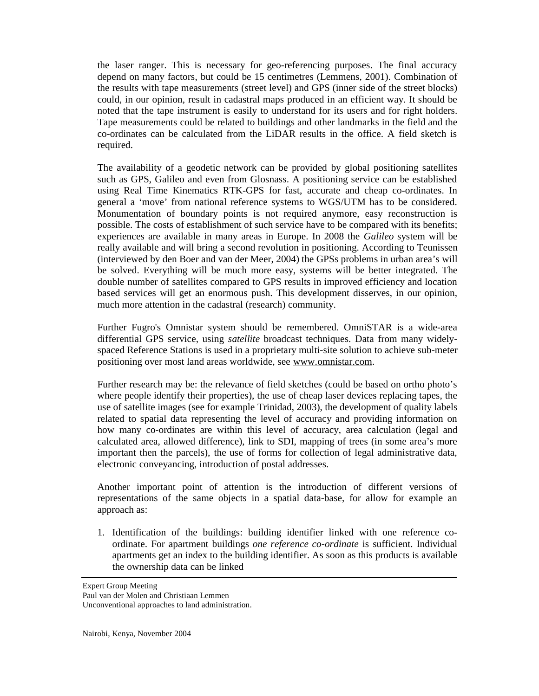the laser ranger. This is necessary for geo-referencing purposes. The final accuracy depend on many factors, but could be 15 centimetres (Lemmens, 2001). Combination of the results with tape measurements (street level) and GPS (inner side of the street blocks) could, in our opinion, result in cadastral maps produced in an efficient way. It should be noted that the tape instrument is easily to understand for its users and for right holders. Tape measurements could be related to buildings and other landmarks in the field and the co-ordinates can be calculated from the LiDAR results in the office. A field sketch is required.

The availability of a geodetic network can be provided by global positioning satellites such as GPS, Galileo and even from Glosnass. A positioning service can be established using Real Time Kinematics RTK-GPS for fast, accurate and cheap co-ordinates. In general a 'move' from national reference systems to WGS/UTM has to be considered. Monumentation of boundary points is not required anymore, easy reconstruction is possible. The costs of establishment of such service have to be compared with its benefits; experiences are available in many areas in Europe. In 2008 the *Galileo* system will be really available and will bring a second revolution in positioning. According to Teunissen (interviewed by den Boer and van der Meer, 2004) the GPSs problems in urban area's will be solved. Everything will be much more easy, systems will be better integrated. The double number of satellites compared to GPS results in improved efficiency and location based services will get an enormous push. This development disserves, in our opinion, much more attention in the cadastral (research) community.

Further Fugro's Omnistar system should be remembered. OmniSTAR is a wide-area differential GPS service, using *satellite* broadcast techniques. Data from many widelyspaced Reference Stations is used in a proprietary multi-site solution to achieve sub-meter positioning over most land areas worldwide, see [www.omnistar.com](http://www.omnistar.com).

Further research may be: the relevance of field sketches (could be based on ortho photo's where people identify their properties), the use of cheap laser devices replacing tapes, the use of satellite images (see for example Trinidad, 2003), the development of quality labels related to spatial data representing the level of accuracy and providing information on how many co-ordinates are within this level of accuracy, area calculation (legal and calculated area, allowed difference), link to SDI, mapping of trees (in some area's more important then the parcels), the use of forms for collection of legal administrative data, electronic conveyancing, introduction of postal addresses.

Another important point of attention is the introduction of different versions of representations of the same objects in a spatial data-base, for allow for example an approach as:

1. Identification of the buildings: building identifier linked with one reference coordinate. For apartment buildings *one reference co-ordinate* is sufficient. Individual apartments get an index to the building identifier. As soon as this products is available the ownership data can be linked

Expert Group Meeting

Paul van der Molen and Christiaan Lemmen Unconventional approaches to land administration.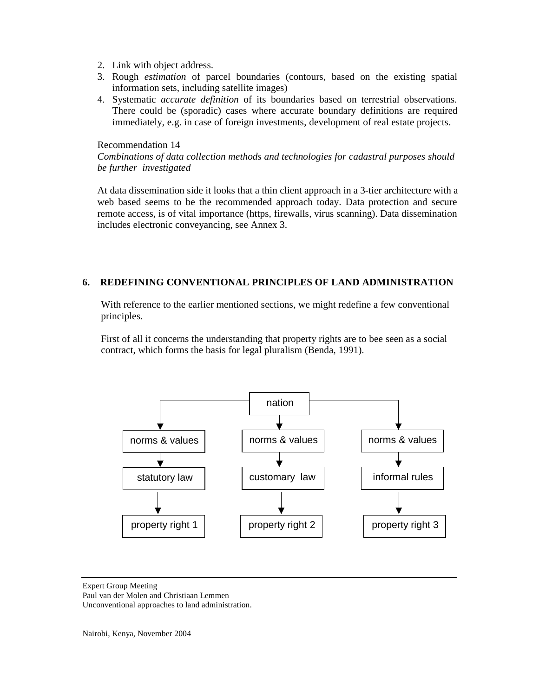- 2. Link with object address.
- 3. Rough *estimation* of parcel boundaries (contours, based on the existing spatial information sets, including satellite images)
- 4. Systematic *accurate definition* of its boundaries based on terrestrial observations. There could be (sporadic) cases where accurate boundary definitions are required immediately, e.g. in case of foreign investments, development of real estate projects.

Recommendation 14

# *Combinations of data collection methods and technologies for cadastral purposes should be further investigated*

At data dissemination side it looks that a thin client approach in a 3-tier architecture with a web based seems to be the recommended approach today. Data protection and secure remote access, is of vital importance (https, firewalls, virus scanning). Data dissemination includes electronic conveyancing, see Annex 3.

# **6. REDEFINING CONVENTIONAL PRINCIPLES OF LAND ADMINISTRATION**

With reference to the earlier mentioned sections, we might redefine a few conventional principles.

First of all it concerns the understanding that property rights are to bee seen as a social contract, which forms the basis for legal pluralism (Benda, 1991).



Expert Group Meeting Paul van der Molen and Christiaan Lemmen Unconventional approaches to land administration.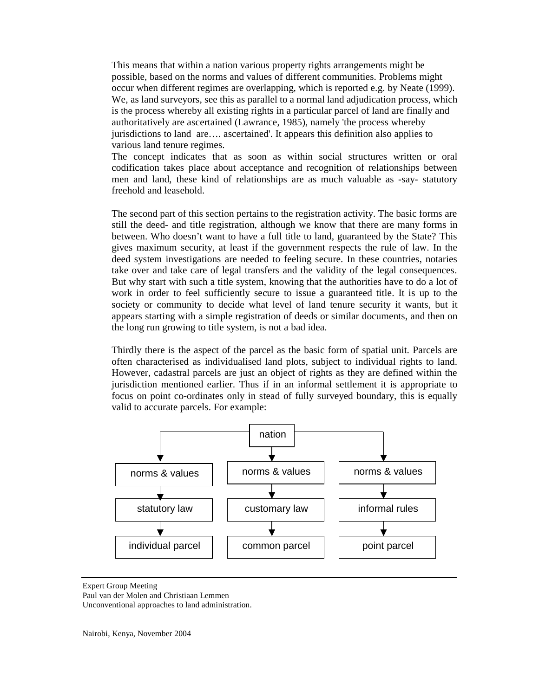This means that within a nation various property rights arrangements might be possible, based on the norms and values of different communities. Problems might occur when different regimes are overlapping, which is reported e.g. by Neate (1999). We, as land surveyors, see this as parallel to a normal land adjudication process, which is the process whereby all existing rights in a particular parcel of land are finally and authoritatively are ascertained (Lawrance, 1985), namely 'the process whereby jurisdictions to land are…. ascertained'. It appears this definition also applies to various land tenure regimes.

The concept indicates that as soon as within social structures written or oral codification takes place about acceptance and recognition of relationships between men and land, these kind of relationships are as much valuable as -say- statutory freehold and leasehold.

The second part of this section pertains to the registration activity. The basic forms are still the deed- and title registration, although we know that there are many forms in between. Who doesn't want to have a full title to land, guaranteed by the State? This gives maximum security, at least if the government respects the rule of law. In the deed system investigations are needed to feeling secure. In these countries, notaries take over and take care of legal transfers and the validity of the legal consequences. But why start with such a title system, knowing that the authorities have to do a lot of work in order to feel sufficiently secure to issue a guaranteed title. It is up to the society or community to decide what level of land tenure security it wants, but it appears starting with a simple registration of deeds or similar documents, and then on the long run growing to title system, is not a bad idea.

Thirdly there is the aspect of the parcel as the basic form of spatial unit. Parcels are often characterised as individualised land plots, subject to individual rights to land. However, cadastral parcels are just an object of rights as they are defined within the jurisdiction mentioned earlier. Thus if in an informal settlement it is appropriate to focus on point co-ordinates only in stead of fully surveyed boundary, this is equally valid to accurate parcels. For example:



Expert Group Meeting Paul van der Molen and Christiaan Lemmen Unconventional approaches to land administration.

Nairobi, Kenya, November 2004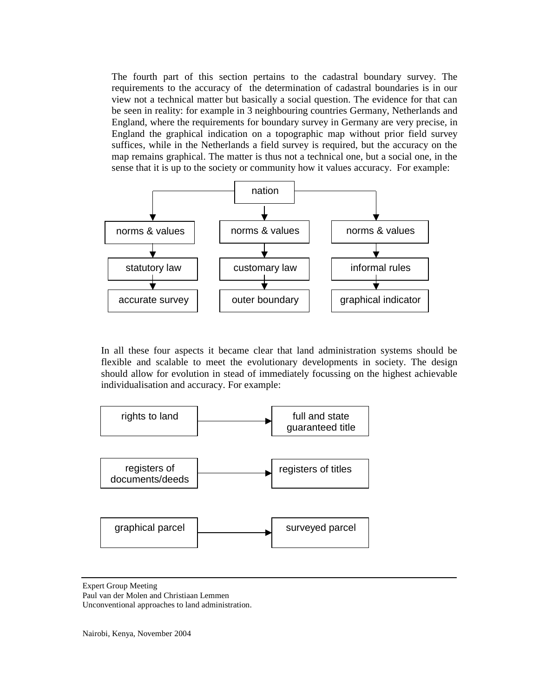The fourth part of this section pertains to the cadastral boundary survey. The requirements to the accuracy of the determination of cadastral boundaries is in our view not a technical matter but basically a social question. The evidence for that can be seen in reality: for example in 3 neighbouring countries Germany, Netherlands and England, where the requirements for boundary survey in Germany are very precise, in England the graphical indication on a topographic map without prior field survey suffices, while in the Netherlands a field survey is required, but the accuracy on the map remains graphical. The matter is thus not a technical one, but a social one, in the sense that it is up to the society or community how it values accuracy. For example:



In all these four aspects it became clear that land administration systems should be flexible and scalable to meet the evolutionary developments in society. The design should allow for evolution in stead of immediately focussing on the highest achievable individualisation and accuracy. For example:



Expert Group Meeting Paul van der Molen and Christiaan Lemmen Unconventional approaches to land administration.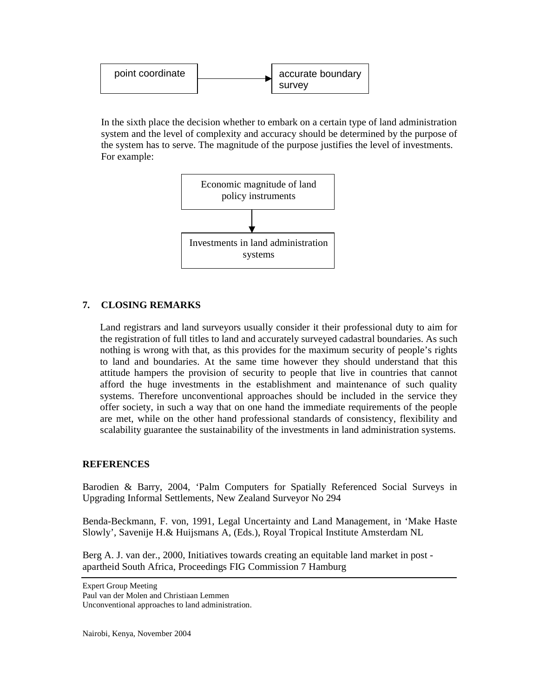

In the sixth place the decision whether to embark on a certain type of land administration system and the level of complexity and accuracy should be determined by the purpose of the system has to serve. The magnitude of the purpose justifies the level of investments. For example:



# **7. CLOSING REMARKS**

Land registrars and land surveyors usually consider it their professional duty to aim for the registration of full titles to land and accurately surveyed cadastral boundaries. As such nothing is wrong with that, as this provides for the maximum security of people's rights to land and boundaries. At the same time however they should understand that this attitude hampers the provision of security to people that live in countries that cannot afford the huge investments in the establishment and maintenance of such quality systems. Therefore unconventional approaches should be included in the service they offer society, in such a way that on one hand the immediate requirements of the people are met, while on the other hand professional standards of consistency, flexibility and scalability guarantee the sustainability of the investments in land administration systems.

# **REFERENCES**

Barodien & Barry, 2004, 'Palm Computers for Spatially Referenced Social Surveys in Upgrading Informal Settlements, New Zealand Surveyor No 294

Benda-Beckmann, F. von, 1991, Legal Uncertainty and Land Management, in 'Make Haste Slowly', Savenije H.& Huijsmans A, (Eds.), Royal Tropical Institute Amsterdam NL

Berg A. J. van der., 2000, Initiatives towards creating an equitable land market in post apartheid South Africa, Proceedings FIG Commission 7 Hamburg

Paul van der Molen and Christiaan Lemmen Unconventional approaches to land administration.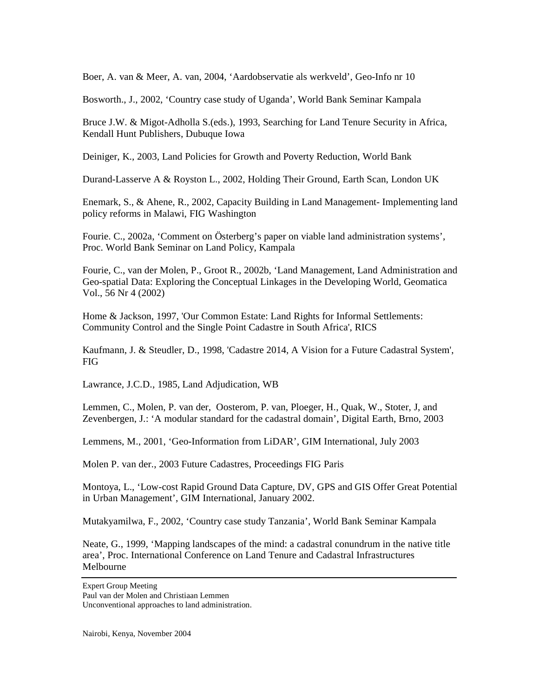Boer, A. van & Meer, A. van, 2004, 'Aardobservatie als werkveld', Geo-Info nr 10

Bosworth., J., 2002, 'Country case study of Uganda', World Bank Seminar Kampala

Bruce J.W. & Migot-Adholla S.(eds.), 1993, Searching for Land Tenure Security in Africa, Kendall Hunt Publishers, Dubuque Iowa

Deiniger, K., 2003, Land Policies for Growth and Poverty Reduction, World Bank

Durand-Lasserve A & Royston L., 2002, Holding Their Ground, Earth Scan, London UK

Enemark, S., & Ahene, R., 2002, Capacity Building in Land Management- Implementing land policy reforms in Malawi, FIG Washington

Fourie. C., 2002a, 'Comment on Österberg's paper on viable land administration systems', Proc. World Bank Seminar on Land Policy, Kampala

Fourie, C., van der Molen, P., Groot R., 2002b, 'Land Management, Land Administration and Geo-spatial Data: Exploring the Conceptual Linkages in the Developing World, Geomatica Vol., 56 Nr 4 (2002)

Home & Jackson, 1997, 'Our Common Estate: Land Rights for Informal Settlements: Community Control and the Single Point Cadastre in South Africa', RICS

Kaufmann, J. & Steudler, D., 1998, 'Cadastre 2014, A Vision for a Future Cadastral System', FIG

Lawrance, J.C.D., 1985, Land Adjudication, WB

Lemmen, C., Molen, P. van der, Oosterom, P. van, Ploeger, H., Quak, W., Stoter, J, and Zevenbergen, J.: 'A modular standard for the cadastral domain', Digital Earth, Brno, 2003

Lemmens, M., 2001, 'Geo-Information from LiDAR', GIM International, July 2003

Molen P. van der., 2003 Future Cadastres, Proceedings FIG Paris

Montoya, L., 'Low-cost Rapid Ground Data Capture, DV, GPS and GIS Offer Great Potential in Urban Management', GIM International, January 2002.

Mutakyamilwa, F., 2002, 'Country case study Tanzania', World Bank Seminar Kampala

Neate, G., 1999, 'Mapping landscapes of the mind: a cadastral conundrum in the native title area', Proc. International Conference on Land Tenure and Cadastral Infrastructures Melbourne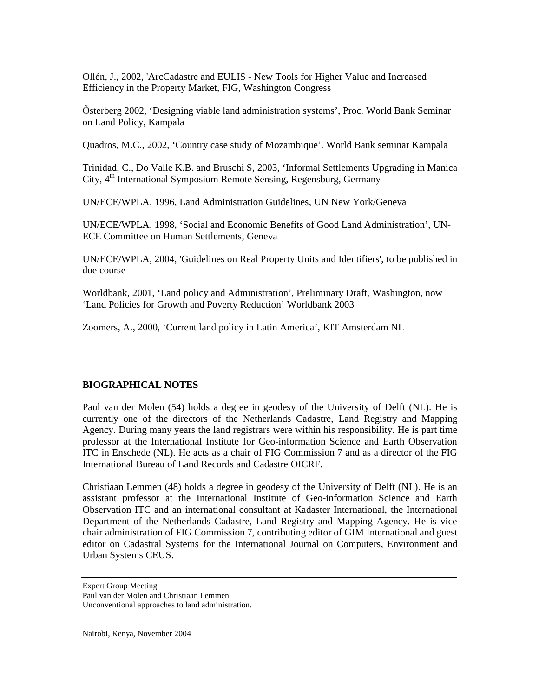Ollén, J., 2002, 'ArcCadastre and EULIS - New Tools for Higher Value and Increased Efficiency in the Property Market, FIG, Washington Congress

Ősterberg 2002, 'Designing viable land administration systems', Proc. World Bank Seminar on Land Policy, Kampala

Quadros, M.C., 2002, 'Country case study of Mozambique'. World Bank seminar Kampala

Trinidad, C., Do Valle K.B. and Bruschi S, 2003, 'Informal Settlements Upgrading in Manica City, 4<sup>th</sup> International Symposium Remote Sensing, Regensburg, Germany

UN/ECE/WPLA, 1996, Land Administration Guidelines, UN New York/Geneva

UN/ECE/WPLA, 1998, 'Social and Economic Benefits of Good Land Administration', UN-ECE Committee on Human Settlements, Geneva

UN/ECE/WPLA, 2004, 'Guidelines on Real Property Units and Identifiers', to be published in due course

Worldbank, 2001, 'Land policy and Administration', Preliminary Draft, Washington, now 'Land Policies for Growth and Poverty Reduction' Worldbank 2003

Zoomers, A., 2000, 'Current land policy in Latin America', KIT Amsterdam NL

# **BIOGRAPHICAL NOTES**

Paul van der Molen (54) holds a degree in geodesy of the University of Delft (NL). He is currently one of the directors of the Netherlands Cadastre, Land Registry and Mapping Agency. During many years the land registrars were within his responsibility. He is part time professor at the International Institute for Geo-information Science and Earth Observation ITC in Enschede (NL). He acts as a chair of FIG Commission 7 and as a director of the FIG International Bureau of Land Records and Cadastre OICRF.

Christiaan Lemmen (48) holds a degree in geodesy of the University of Delft (NL). He is an assistant professor at the International Institute of Geo-information Science and Earth Observation ITC and an international consultant at Kadaster International, the International Department of the Netherlands Cadastre, Land Registry and Mapping Agency. He is vice chair administration of FIG Commission 7, contributing editor of GIM International and guest editor on Cadastral Systems for the International Journal on Computers, Environment and Urban Systems CEUS.

Expert Group Meeting Paul van der Molen and Christiaan Lemmen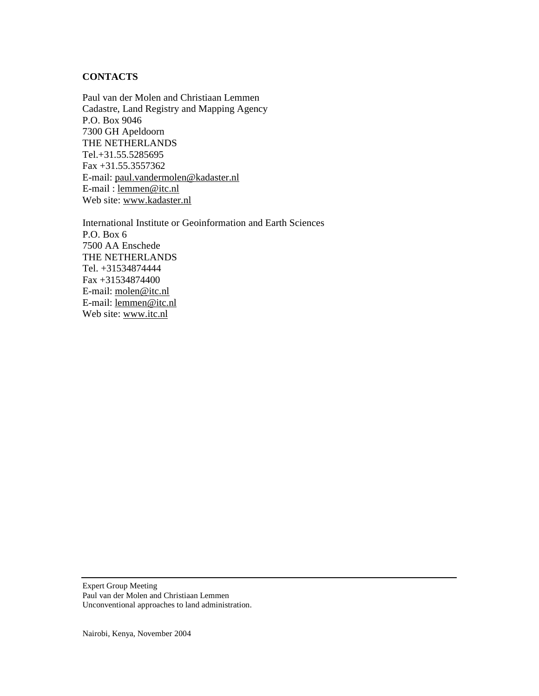# **CONTACTS**

Paul van der Molen and Christiaan Lemmen Cadastre, Land Registry and Mapping Agency P.O. Box 9046 7300 GH Apeldoorn THE NETHERLANDS Tel.+31.55.5285695 Fax +31.55.3557362 E-mail: [paul.vandermolen@kadaster.nl](mailto:paul.vandermolen@kadaster.nl) E-mail : [lemmen@itc.nl](mailto:lemmen@itc.nl) Web site: [www.kadaster.nl](http://www.kadaster.nl)

International Institute or Geoinformation and Earth Sciences P.O. Box 6 7500 AA Enschede THE NETHERLANDS Tel. +31534874444 Fax +31534874400 E-mail: [molen@itc.nl](mailto:molen@itc.nl) E-mail: [lemmen@itc.nl](mailto:lemmen@itc.nl) Web site: [www.itc.nl](http://www.itc.nl)

Expert Group Meeting Paul van der Molen and Christiaan Lemmen Unconventional approaches to land administration.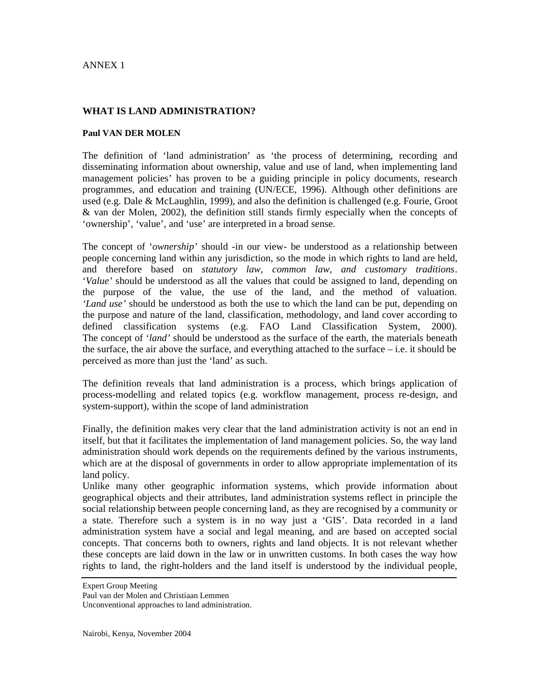### ANNEX 1

### **WHAT IS LAND ADMINISTRATION?**

#### **Paul VAN DER MOLEN**

The definition of 'land administration' as 'the process of determining, recording and disseminating information about ownership, value and use of land, when implementing land management policies' has proven to be a guiding principle in policy documents, research programmes, and education and training (UN/ECE, 1996). Although other definitions are used (e.g. Dale & McLaughlin, 1999), and also the definition is challenged (e.g. Fourie, Groot & van der Molen, 2002), the definition still stands firmly especially when the concepts of 'ownership', 'value', and 'use' are interpreted in a broad sense.

The concept of '*ownership'* should -in our view- be understood as a relationship between people concerning land within any jurisdiction, so the mode in which rights to land are held, and therefore based on *statutory law, common law, and customary traditions*. '*Value'* should be understood as all the values that could be assigned to land, depending on the purpose of the value, the use of the land, and the method of valuation. *'Land use'* should be understood as both the use to which the land can be put, depending on the purpose and nature of the land, classification, methodology, and land cover according to defined classification systems (e.g. FAO Land Classification System, 2000). The concept of '*land'* should be understood as the surface of the earth, the materials beneath the surface, the air above the surface, and everything attached to the surface – i.e. it should be perceived as more than just the 'land' as such.

The definition reveals that land administration is a process, which brings application of process-modelling and related topics (e.g. workflow management, process re-design, and system-support), within the scope of land administration

Finally, the definition makes very clear that the land administration activity is not an end in itself, but that it facilitates the implementation of land management policies. So, the way land administration should work depends on the requirements defined by the various instruments, which are at the disposal of governments in order to allow appropriate implementation of its land policy.

Unlike many other geographic information systems, which provide information about geographical objects and their attributes, land administration systems reflect in principle the social relationship between people concerning land, as they are recognised by a community or a state. Therefore such a system is in no way just a 'GIS'. Data recorded in a land administration system have a social and legal meaning, and are based on accepted social concepts. That concerns both to owners, rights and land objects. It is not relevant whether these concepts are laid down in the law or in unwritten customs. In both cases the way how rights to land, the right-holders and the land itself is understood by the individual people,

Expert Group Meeting

Paul van der Molen and Christiaan Lemmen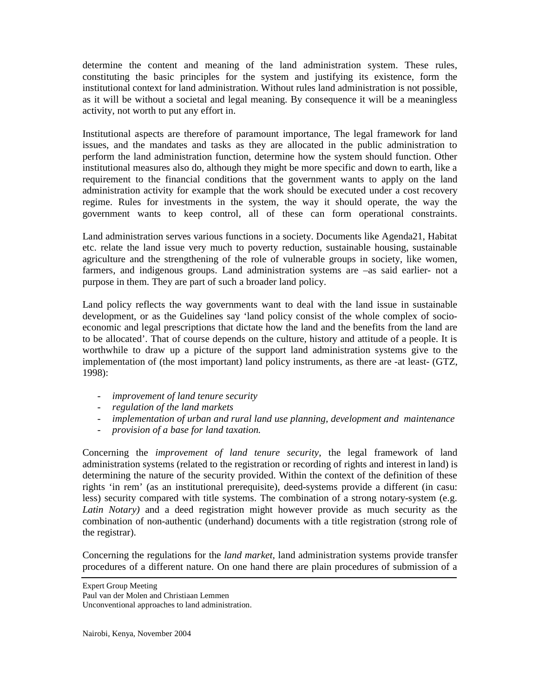determine the content and meaning of the land administration system. These rules, constituting the basic principles for the system and justifying its existence, form the institutional context for land administration. Without rules land administration is not possible, as it will be without a societal and legal meaning. By consequence it will be a meaningless activity, not worth to put any effort in.

Institutional aspects are therefore of paramount importance, The legal framework for land issues, and the mandates and tasks as they are allocated in the public administration to perform the land administration function, determine how the system should function. Other institutional measures also do, although they might be more specific and down to earth, like a requirement to the financial conditions that the government wants to apply on the land administration activity for example that the work should be executed under a cost recovery regime. Rules for investments in the system, the way it should operate, the way the government wants to keep control, all of these can form operational constraints.

Land administration serves various functions in a society. Documents like Agenda21, Habitat etc. relate the land issue very much to poverty reduction, sustainable housing, sustainable agriculture and the strengthening of the role of vulnerable groups in society, like women, farmers, and indigenous groups. Land administration systems are –as said earlier- not a purpose in them. They are part of such a broader land policy.

Land policy reflects the way governments want to deal with the land issue in sustainable development, or as the Guidelines say 'land policy consist of the whole complex of socioeconomic and legal prescriptions that dictate how the land and the benefits from the land are to be allocated'. That of course depends on the culture, history and attitude of a people. It is worthwhile to draw up a picture of the support land administration systems give to the implementation of (the most important) land policy instruments, as there are -at least- (GTZ, 1998):

- *improvement of land tenure security*
- *regulation of the land markets*
- *implementation of urban and rural land use planning, development and maintenance*
- *provision of a base for land taxation.*

Concerning the *improvement of land tenure security*, the legal framework of land administration systems (related to the registration or recording of rights and interest in land) is determining the nature of the security provided. Within the context of the definition of these rights 'in rem' (as an institutional prerequisite), deed-systems provide a different (in casu: less) security compared with title systems. The combination of a strong notary-system (e.g. *Latin Notary)* and a deed registration might however provide as much security as the combination of non-authentic (underhand) documents with a title registration (strong role of the registrar).

Concerning the regulations for the *land market,* land administration systems provide transfer procedures of a different nature. On one hand there are plain procedures of submission of a

Expert Group Meeting

Paul van der Molen and Christiaan Lemmen

Unconventional approaches to land administration.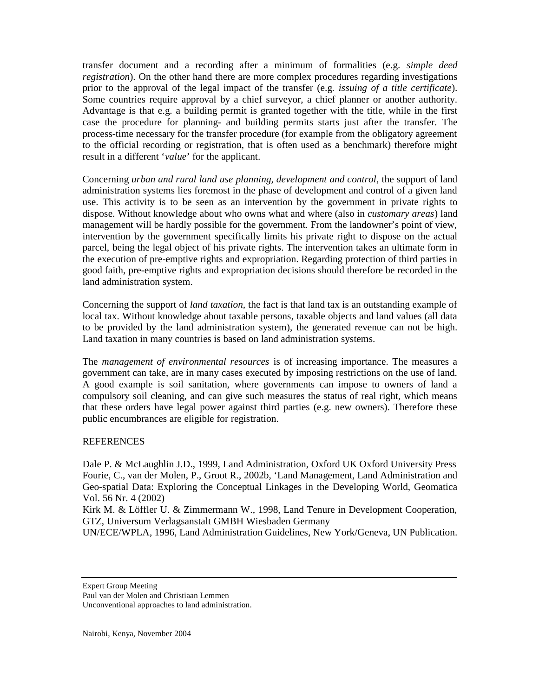transfer document and a recording after a minimum of formalities (e.g. *simple deed registration*). On the other hand there are more complex procedures regarding investigations prior to the approval of the legal impact of the transfer (e.g*. issuing of a title certificate*). Some countries require approval by a chief surveyor, a chief planner or another authority. Advantage is that e.g. a building permit is granted together with the title, while in the first case the procedure for planning- and building permits starts just after the transfer. The process-time necessary for the transfer procedure (for example from the obligatory agreement to the official recording or registration, that is often used as a benchmark) therefore might result in a different '*value*' for the applicant.

Concerning *urban and rural land use planning, development and control*, the support of land administration systems lies foremost in the phase of development and control of a given land use. This activity is to be seen as an intervention by the government in private rights to dispose. Without knowledge about who owns what and where (also in *customary areas*) land management will be hardly possible for the government. From the landowner's point of view, intervention by the government specifically limits his private right to dispose on the actual parcel, being the legal object of his private rights. The intervention takes an ultimate form in the execution of pre-emptive rights and expropriation. Regarding protection of third parties in good faith, pre-emptive rights and expropriation decisions should therefore be recorded in the land administration system.

Concerning the support of *land taxation,* the fact is that land tax is an outstanding example of local tax. Without knowledge about taxable persons, taxable objects and land values (all data to be provided by the land administration system), the generated revenue can not be high. Land taxation in many countries is based on land administration systems.

The *management of environmental resources* is of increasing importance. The measures a government can take, are in many cases executed by imposing restrictions on the use of land. A good example is soil sanitation, where governments can impose to owners of land a compulsory soil cleaning, and can give such measures the status of real right, which means that these orders have legal power against third parties (e.g. new owners). Therefore these public encumbrances are eligible for registration.

### **REFERENCES**

Dale P. & McLaughlin J.D., 1999, Land Administration, Oxford UK Oxford University Press Fourie, C., van der Molen, P., Groot R., 2002b, 'Land Management, Land Administration and Geo-spatial Data: Exploring the Conceptual Linkages in the Developing World, Geomatica Vol. 56 Nr. 4 (2002)

Kirk M. & Löffler U. & Zimmermann W., 1998, Land Tenure in Development Cooperation, GTZ, Universum Verlagsanstalt GMBH Wiesbaden Germany

UN/ECE/WPLA, 1996, Land Administration Guidelines, New York/Geneva, UN Publication.

Expert Group Meeting

Paul van der Molen and Christiaan Lemmen

Unconventional approaches to land administration.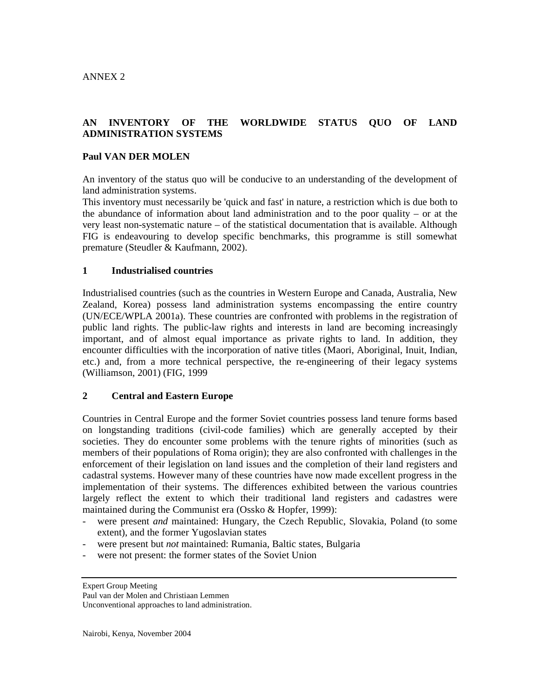# **AN INVENTORY OF THE WORLDWIDE STATUS QUO OF LAND ADMINISTRATION SYSTEMS**

### **Paul VAN DER MOLEN**

An inventory of the status quo will be conducive to an understanding of the development of land administration systems.

This inventory must necessarily be 'quick and fast' in nature, a restriction which is due both to the abundance of information about land administration and to the poor quality – or at the very least non-systematic nature – of the statistical documentation that is available. Although FIG is endeavouring to develop specific benchmarks, this programme is still somewhat premature (Steudler & Kaufmann, 2002).

### **1 Industrialised countries**

Industrialised countries (such as the countries in Western Europe and Canada, Australia, New Zealand, Korea) possess land administration systems encompassing the entire country (UN/ECE/WPLA 2001a). These countries are confronted with problems in the registration of public land rights. The public-law rights and interests in land are becoming increasingly important, and of almost equal importance as private rights to land. In addition, they encounter difficulties with the incorporation of native titles (Maori, Aboriginal, Inuit, Indian, etc.) and, from a more technical perspective, the re-engineering of their legacy systems (Williamson, 2001) (FIG, 1999

### **2 Central and Eastern Europe**

Countries in Central Europe and the former Soviet countries possess land tenure forms based on longstanding traditions (civil-code families) which are generally accepted by their societies. They do encounter some problems with the tenure rights of minorities (such as members of their populations of Roma origin); they are also confronted with challenges in the enforcement of their legislation on land issues and the completion of their land registers and cadastral systems. However many of these countries have now made excellent progress in the implementation of their systems. The differences exhibited between the various countries largely reflect the extent to which their traditional land registers and cadastres were maintained during the Communist era (Ossko & Hopfer, 1999):

- were present *and* maintained: Hungary, the Czech Republic, Slovakia, Poland (to some extent), and the former Yugoslavian states
- were present but *not* maintained: Rumania, Baltic states, Bulgaria
- were not present: the former states of the Soviet Union

Expert Group Meeting

Paul van der Molen and Christiaan Lemmen

Unconventional approaches to land administration.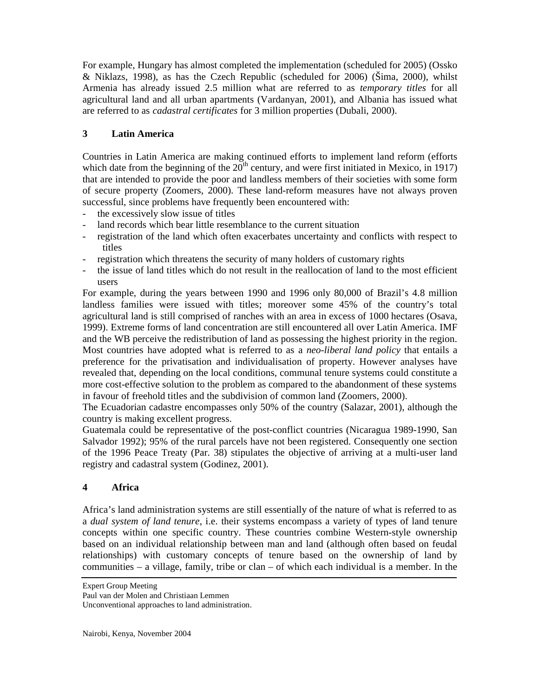For example, Hungary has almost completed the implementation (scheduled for 2005) (Ossko & Niklazs, 1998), as has the Czech Republic (scheduled for 2006) (Šima, 2000), whilst Armenia has already issued 2.5 million what are referred to as *temporary titles* for all agricultural land and all urban apartments (Vardanyan, 2001), and Albania has issued what are referred to as *cadastral certificates* for 3 million properties (Dubali, 2000).

# **3 Latin America**

Countries in Latin America are making continued efforts to implement land reform (efforts which date from the beginning of the  $20<sup>th</sup>$  century, and were first initiated in Mexico, in 1917) that are intended to provide the poor and landless members of their societies with some form of secure property (Zoomers, 2000). These land-reform measures have not always proven successful, since problems have frequently been encountered with:

- the excessively slow issue of titles
- land records which bear little resemblance to the current situation
- registration of the land which often exacerbates uncertainty and conflicts with respect to titles
- registration which threatens the security of many holders of customary rights
- the issue of land titles which do not result in the reallocation of land to the most efficient users

For example, during the years between 1990 and 1996 only 80,000 of Brazil's 4.8 million landless families were issued with titles; moreover some 45% of the country's total agricultural land is still comprised of ranches with an area in excess of 1000 hectares (Osava, 1999). Extreme forms of land concentration are still encountered all over Latin America. IMF and the WB perceive the redistribution of land as possessing the highest priority in the region. Most countries have adopted what is referred to as a *neo-liberal land policy* that entails a preference for the privatisation and individualisation of property. However analyses have revealed that, depending on the local conditions, communal tenure systems could constitute a more cost-effective solution to the problem as compared to the abandonment of these systems in favour of freehold titles and the subdivision of common land (Zoomers, 2000).

The Ecuadorian cadastre encompasses only 50% of the country (Salazar, 2001), although the country is making excellent progress.

Guatemala could be representative of the post-conflict countries (Nicaragua 1989-1990, San Salvador 1992); 95% of the rural parcels have not been registered. Consequently one section of the 1996 Peace Treaty (Par. 38) stipulates the objective of arriving at a multi-user land registry and cadastral system (Godinez, 2001).

# **4 Africa**

Africa's land administration systems are still essentially of the nature of what is referred to as a *dual system of land tenure*, i.e. their systems encompass a variety of types of land tenure concepts within one specific country. These countries combine Western-style ownership based on an individual relationship between man and land (although often based on feudal relationships) with customary concepts of tenure based on the ownership of land by communities – a village, family, tribe or clan – of which each individual is a member. In the

Expert Group Meeting

Paul van der Molen and Christiaan Lemmen

Unconventional approaches to land administration.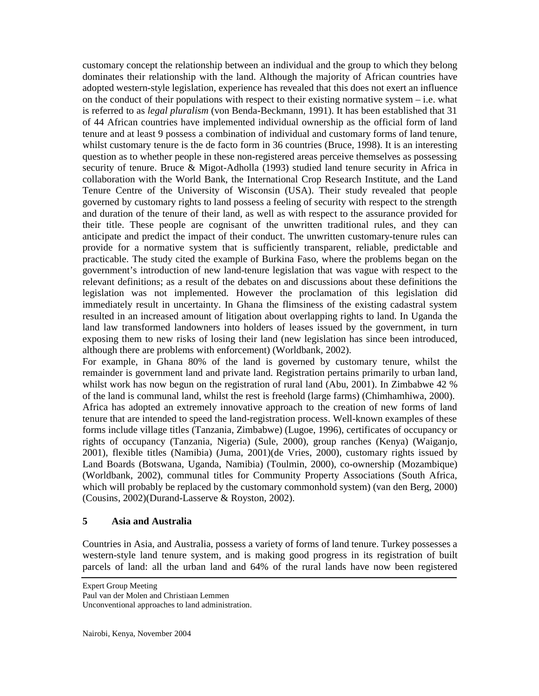customary concept the relationship between an individual and the group to which they belong dominates their relationship with the land. Although the majority of African countries have adopted western-style legislation, experience has revealed that this does not exert an influence on the conduct of their populations with respect to their existing normative system  $-$  i.e. what is referred to as *legal pluralism* (von Benda-Beckmann, 1991). It has been established that 31 of 44 African countries have implemented individual ownership as the official form of land tenure and at least 9 possess a combination of individual and customary forms of land tenure, whilst customary tenure is the de facto form in 36 countries (Bruce, 1998). It is an interesting question as to whether people in these non-registered areas perceive themselves as possessing security of tenure. Bruce & Migot-Adholla (1993) studied land tenure security in Africa in collaboration with the World Bank, the International Crop Research Institute, and the Land Tenure Centre of the University of Wisconsin (USA). Their study revealed that people governed by customary rights to land possess a feeling of security with respect to the strength and duration of the tenure of their land, as well as with respect to the assurance provided for their title. These people are cognisant of the unwritten traditional rules, and they can anticipate and predict the impact of their conduct. The unwritten customary-tenure rules can provide for a normative system that is sufficiently transparent, reliable, predictable and practicable. The study cited the example of Burkina Faso, where the problems began on the government's introduction of new land-tenure legislation that was vague with respect to the relevant definitions; as a result of the debates on and discussions about these definitions the legislation was not implemented. However the proclamation of this legislation did immediately result in uncertainty. In Ghana the flimsiness of the existing cadastral system resulted in an increased amount of litigation about overlapping rights to land. In Uganda the land law transformed landowners into holders of leases issued by the government, in turn exposing them to new risks of losing their land (new legislation has since been introduced, although there are problems with enforcement) (Worldbank, 2002).

For example, in Ghana 80% of the land is governed by customary tenure, whilst the remainder is government land and private land. Registration pertains primarily to urban land, whilst work has now begun on the registration of rural land (Abu, 2001). In Zimbabwe 42 % of the land is communal land, whilst the rest is freehold (large farms) (Chimhamhiwa, 2000). Africa has adopted an extremely innovative approach to the creation of new forms of land tenure that are intended to speed the land-registration process. Well-known examples of these forms include village titles (Tanzania, Zimbabwe) (Lugoe, 1996), certificates of occupancy or rights of occupancy (Tanzania, Nigeria) (Sule, 2000), group ranches (Kenya) (Waiganjo, 2001), flexible titles (Namibia) (Juma, 2001)(de Vries, 2000), customary rights issued by Land Boards (Botswana, Uganda, Namibia) (Toulmin, 2000), co-ownership (Mozambique) (Worldbank, 2002), communal titles for Community Property Associations (South Africa, which will probably be replaced by the customary commonhold system) (van den Berg, 2000) (Cousins, 2002)(Durand-Lasserve & Royston, 2002).

# **5 Asia and Australia**

Countries in Asia, and Australia, possess a variety of forms of land tenure. Turkey possesses a western-style land tenure system, and is making good progress in its registration of built parcels of land: all the urban land and 64% of the rural lands have now been registered

Paul van der Molen and Christiaan Lemmen Unconventional approaches to land administration.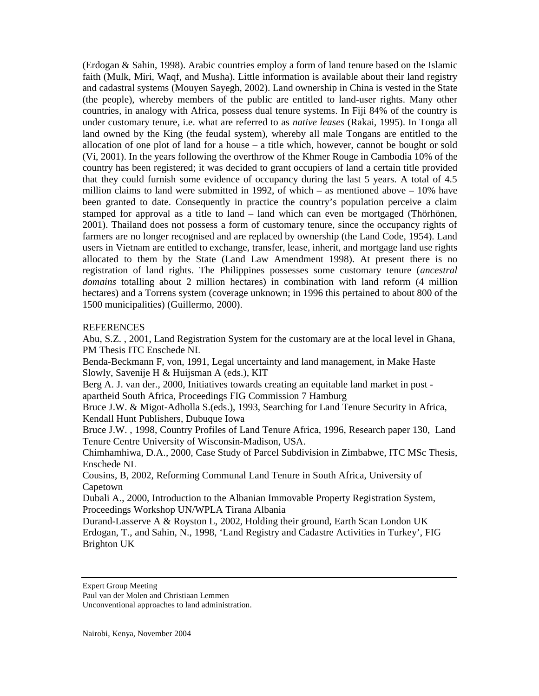(Erdogan & Sahin, 1998). Arabic countries employ a form of land tenure based on the Islamic faith (Mulk, Miri, Waqf, and Musha). Little information is available about their land registry and cadastral systems (Mouyen Sayegh, 2002). Land ownership in China is vested in the State (the people), whereby members of the public are entitled to land-user rights. Many other countries, in analogy with Africa, possess dual tenure systems. In Fiji 84% of the country is under customary tenure, i.e. what are referred to as *native leases* (Rakai, 1995). In Tonga all land owned by the King (the feudal system), whereby all male Tongans are entitled to the allocation of one plot of land for a house – a title which, however, cannot be bought or sold (Vi, 2001). In the years following the overthrow of the Khmer Rouge in Cambodia 10% of the country has been registered; it was decided to grant occupiers of land a certain title provided that they could furnish some evidence of occupancy during the last 5 years. A total of 4.5 million claims to land were submitted in 1992, of which – as mentioned above – 10% have been granted to date. Consequently in practice the country's population perceive a claim stamped for approval as a title to land – land which can even be mortgaged (Thörhönen, 2001). Thailand does not possess a form of customary tenure, since the occupancy rights of farmers are no longer recognised and are replaced by ownership (the Land Code, 1954). Land users in Vietnam are entitled to exchange, transfer, lease, inherit, and mortgage land use rights allocated to them by the State (Land Law Amendment 1998). At present there is no registration of land rights. The Philippines possesses some customary tenure (*ancestral domains* totalling about 2 million hectares) in combination with land reform (4 million hectares) and a Torrens system (coverage unknown; in 1996 this pertained to about 800 of the 1500 municipalities) (Guillermo, 2000).

#### REFERENCES

Abu, S.Z. , 2001, Land Registration System for the customary are at the local level in Ghana, PM Thesis ITC Enschede NL

Benda-Beckmann F, von, 1991, Legal uncertainty and land management, in Make Haste Slowly, Savenije H & Huijsman A (eds.), KIT

Berg A. J. van der., 2000, Initiatives towards creating an equitable land market in post apartheid South Africa, Proceedings FIG Commission 7 Hamburg

Bruce J.W. & Migot-Adholla S.(eds.), 1993, Searching for Land Tenure Security in Africa, Kendall Hunt Publishers, Dubuque Iowa

Bruce J.W. , 1998, Country Profiles of Land Tenure Africa, 1996, Research paper 130, Land Tenure Centre University of Wisconsin-Madison, USA.

Chimhamhiwa, D.A., 2000, Case Study of Parcel Subdivision in Zimbabwe, ITC MSc Thesis, Enschede NL

Cousins, B, 2002, Reforming Communal Land Tenure in South Africa, University of Capetown

Dubali A., 2000, Introduction to the Albanian Immovable Property Registration System, Proceedings Workshop UN/WPLA Tirana Albania

Durand-Lasserve A & Royston L, 2002, Holding their ground, Earth Scan London UK Erdogan, T., and Sahin, N., 1998, 'Land Registry and Cadastre Activities in Turkey', FIG Brighton UK

Expert Group Meeting

Paul van der Molen and Christiaan Lemmen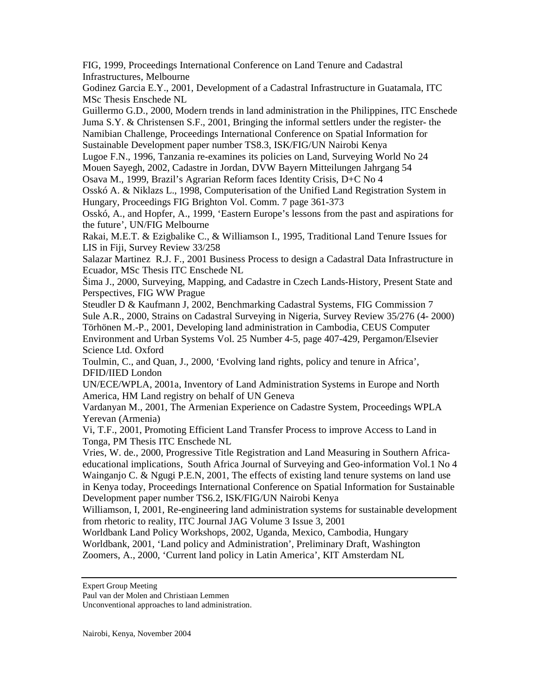FIG, 1999, Proceedings International Conference on Land Tenure and Cadastral Infrastructures, Melbourne

Godinez Garcia E.Y., 2001, Development of a Cadastral Infrastructure in Guatamala, ITC MSc Thesis Enschede NL

Guillermo G.D., 2000, Modern trends in land administration in the Philippines, ITC Enschede Juma S.Y. & Christensen S.F., 2001, Bringing the informal settlers under the register- the Namibian Challenge, Proceedings International Conference on Spatial Information for Sustainable Development paper number TS8.3, ISK/FIG/UN Nairobi Kenya

Lugoe F.N., 1996, Tanzania re-examines its policies on Land, Surveying World No 24

Mouen Sayegh, 2002, Cadastre in Jordan, DVW Bayern Mitteilungen Jahrgang 54

Osava M., 1999, Brazil's Agrarian Reform faces Identity Crisis, D+C No 4

Osskó A. & Niklazs L., 1998, Computerisation of the Unified Land Registration System in Hungary, Proceedings FIG Brighton Vol. Comm. 7 page 361-373

Osskó, A., and Hopfer, A., 1999, 'Eastern Europe's lessons from the past and aspirations for the future', UN/FIG Melbourne

Rakai, M.E.T. & Ezigbalike C., & Williamson I., 1995, Traditional Land Tenure Issues for LIS in Fiji, Survey Review 33/258

Salazar Martinez R.J. F., 2001 Business Process to design a Cadastral Data Infrastructure in Ecuador, MSc Thesis ITC Enschede NL

Šima J., 2000, Surveying, Mapping, and Cadastre in Czech Lands-History, Present State and Perspectives, FIG WW Prague

Steudler D & Kaufmann J, 2002, Benchmarking Cadastral Systems, FIG Commission 7 Sule A.R., 2000, Strains on Cadastral Surveying in Nigeria, Survey Review 35/276 (4- 2000) Törhönen M.-P., 2001, Developing land administration in Cambodia, CEUS Computer Environment and Urban Systems Vol. 25 Number 4-5, page 407-429, Pergamon/Elsevier Science Ltd. Oxford

Toulmin, C., and Quan, J., 2000, 'Evolving land rights, policy and tenure in Africa', DFID/IIED London

UN/ECE/WPLA, 2001a, Inventory of Land Administration Systems in Europe and North America, HM Land registry on behalf of UN Geneva

Vardanyan M., 2001, The Armenian Experience on Cadastre System, Proceedings WPLA Yerevan (Armenia)

Vi, T.F., 2001, Promoting Efficient Land Transfer Process to improve Access to Land in Tonga, PM Thesis ITC Enschede NL

Vries, W. de., 2000, Progressive Title Registration and Land Measuring in Southern Africaeducational implications, South Africa Journal of Surveying and Geo-information Vol.1 No 4 Wainganjo C.  $\&$  Ngugi P.E.N, 2001, The effects of existing land tenure systems on land use in Kenya today, Proceedings International Conference on Spatial Information for Sustainable Development paper number TS6.2, ISK/FIG/UN Nairobi Kenya

Williamson, I, 2001, Re-engineering land administration systems for sustainable development from rhetoric to reality, ITC Journal JAG Volume 3 Issue 3, 2001

Worldbank Land Policy Workshops, 2002, Uganda, Mexico, Cambodia, Hungary Worldbank, 2001, 'Land policy and Administration', Preliminary Draft, Washington Zoomers, A., 2000, 'Current land policy in Latin America', KIT Amsterdam NL

Expert Group Meeting

Paul van der Molen and Christiaan Lemmen